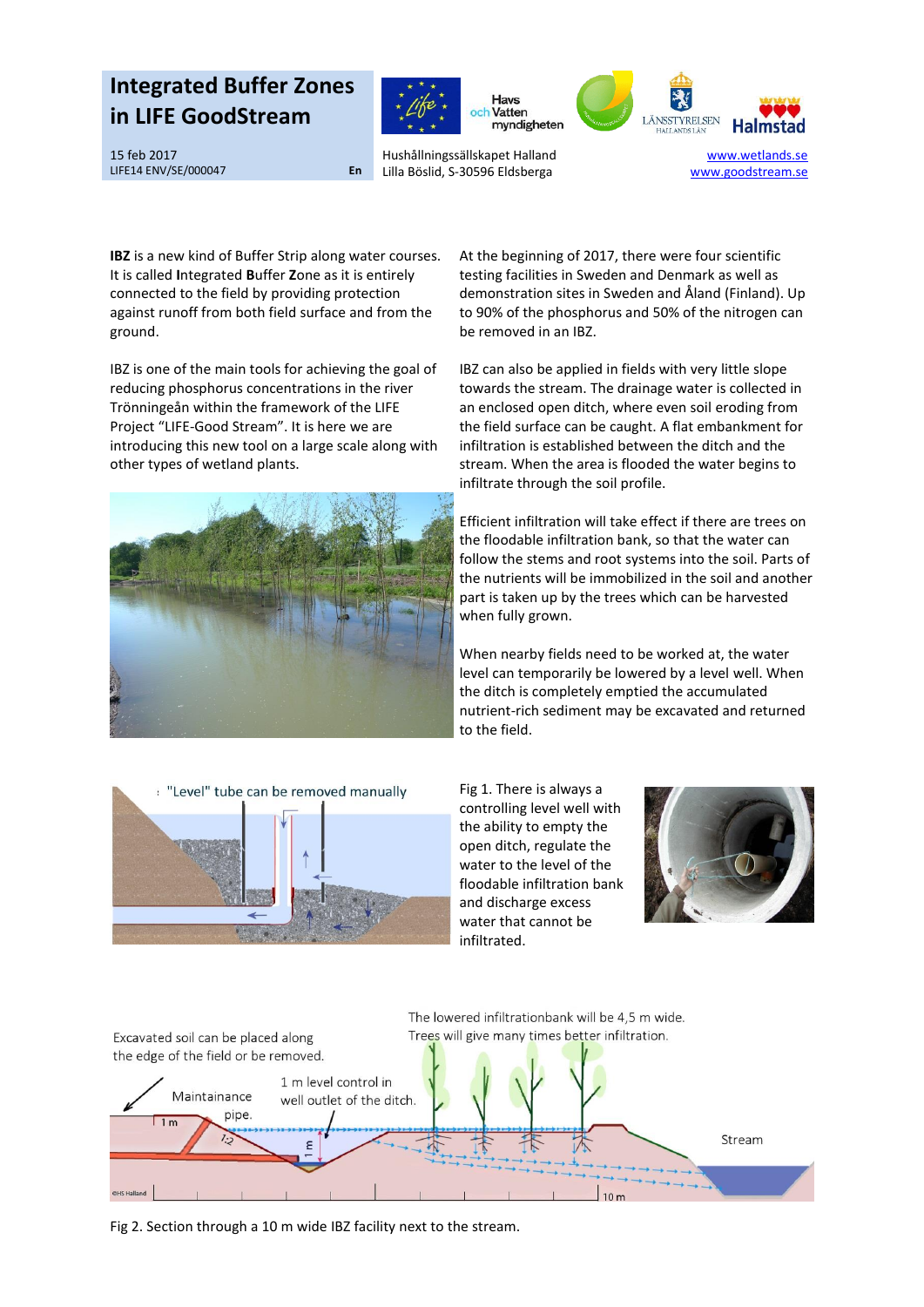## **Integrated Buffer Zones in LIFE GoodStream**<br> **in LIFE GoodStream**







15 feb 2017 LIFE14 ENV/SE/000047 **En**

Hushållningssällskapet Halland Lilla Böslid, S-30596 Eldsberga

[www.wetlands.se](http://www.wetlands.se/) www.goodstream.se

**IBZ** is a new kind of Buffer Strip along water courses. It is called **I**ntegrated **B**uffer **Z**one as it is entirely connected to the field by providing protection against runoff from both field surface and from the ground.

IBZ is one of the main tools for achieving the goal of reducing phosphorus concentrations in the river Trönningeån within the framework of the LIFE Project "LIFE-Good Stream". It is here we are introducing this new tool on a large scale along with other types of wetland plants.



At the beginning of 2017, there were four scientific testing facilities in Sweden and Denmark as well as demonstration sites in Sweden and Åland (Finland). Up to 90% of the phosphorus and 50% of the nitrogen can be removed in an IBZ.

IBZ can also be applied in fields with very little slope towards the stream. The drainage water is collected in an enclosed open ditch, where even soil eroding from the field surface can be caught. A flat embankment for infiltration is established between the ditch and the stream. When the area is flooded the water begins to infiltrate through the soil profile.

Efficient infiltration will take effect if there are trees on the floodable infiltration bank, so that the water can follow the stems and root systems into the soil. Parts of the nutrients will be immobilized in the soil and another part is taken up by the trees which can be harvested when fully grown.

When nearby fields need to be worked at, the water level can temporarily be lowered by a level well. When the ditch is completely emptied the accumulated nutrient-rich sediment may be excavated and returned to the field.



Fig 1. There is always a controlling level well with the ability to empty the open ditch, regulate the water to the level of the floodable infiltration bank and discharge excess water that cannot be infiltrated.





Fig 2. Section through a 10 m wide IBZ facility next to the stream.